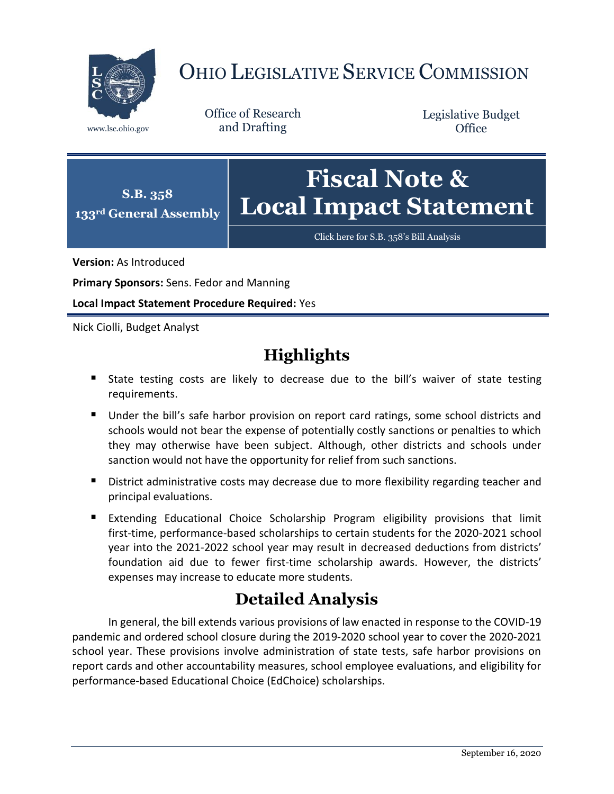

# OHIO LEGISLATIVE SERVICE COMMISSION

Office of Research www.lsc.ohio.gov and Drafting

Legislative Budget **Office** 



[Click here for S.B. 358](https://www.legislature.ohio.gov/legislation/legislation-documents?id=GA133-SB-358)'s Bill Analysis

**Version:** As Introduced

**Primary Sponsors:** Sens. Fedor and Manning

**Local Impact Statement Procedure Required:** Yes

Nick Ciolli, Budget Analyst

# **Highlights**

- State testing costs are likely to decrease due to the bill's waiver of state testing requirements.
- Under the bill's safe harbor provision on report card ratings, some school districts and schools would not bear the expense of potentially costly sanctions or penalties to which they may otherwise have been subject. Although, other districts and schools under sanction would not have the opportunity for relief from such sanctions.
- **District administrative costs may decrease due to more flexibility regarding teacher and** principal evaluations.
- **Extending Educational Choice Scholarship Program eligibility provisions that limit** first-time, performance-based scholarships to certain students for the 2020-2021 school year into the 2021-2022 school year may result in decreased deductions from districts' foundation aid due to fewer first-time scholarship awards. However, the districts' expenses may increase to educate more students.

# **Detailed Analysis**

In general, the bill extends various provisions of law enacted in response to the COVID-19 pandemic and ordered school closure during the 2019-2020 school year to cover the 2020-2021 school year. These provisions involve administration of state tests, safe harbor provisions on report cards and other accountability measures, school employee evaluations, and eligibility for performance-based Educational Choice (EdChoice) scholarships.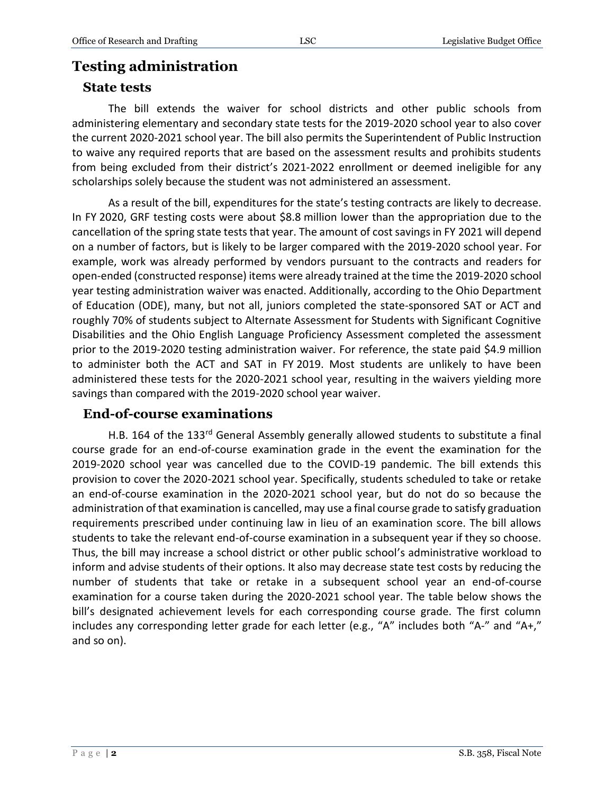## **Testing administration**

#### **State tests**

The bill extends the waiver for school districts and other public schools from administering elementary and secondary state tests for the 2019-2020 school year to also cover the current 2020-2021 school year. The bill also permits the Superintendent of Public Instruction to waive any required reports that are based on the assessment results and prohibits students from being excluded from their district's 2021-2022 enrollment or deemed ineligible for any scholarships solely because the student was not administered an assessment.

As a result of the bill, expenditures for the state's testing contracts are likely to decrease. In FY 2020, GRF testing costs were about \$8.8 million lower than the appropriation due to the cancellation of the spring state tests that year. The amount of cost savings in FY 2021 will depend on a number of factors, but is likely to be larger compared with the 2019-2020 school year. For example, work was already performed by vendors pursuant to the contracts and readers for open-ended (constructed response) items were already trained at the time the 2019-2020 school year testing administration waiver was enacted. Additionally, according to the Ohio Department of Education (ODE), many, but not all, juniors completed the state-sponsored SAT or ACT and roughly 70% of students subject to Alternate Assessment for Students with Significant Cognitive Disabilities and the Ohio English Language Proficiency Assessment completed the assessment prior to the 2019-2020 testing administration waiver. For reference, the state paid \$4.9 million to administer both the ACT and SAT in FY 2019. Most students are unlikely to have been administered these tests for the 2020-2021 school year, resulting in the waivers yielding more savings than compared with the 2019-2020 school year waiver.

#### **End-of-course examinations**

H.B. 164 of the 133<sup>rd</sup> General Assembly generally allowed students to substitute a final course grade for an end-of-course examination grade in the event the examination for the 2019-2020 school year was cancelled due to the COVID-19 pandemic. The bill extends this provision to cover the 2020-2021 school year. Specifically, students scheduled to take or retake an end-of-course examination in the 2020-2021 school year, but do not do so because the administration of that examination is cancelled, may use a final course grade to satisfy graduation requirements prescribed under continuing law in lieu of an examination score. The bill allows students to take the relevant end-of-course examination in a subsequent year if they so choose. Thus, the bill may increase a school district or other public school's administrative workload to inform and advise students of their options. It also may decrease state test costs by reducing the number of students that take or retake in a subsequent school year an end-of-course examination for a course taken during the 2020-2021 school year. The table below shows the bill's designated achievement levels for each corresponding course grade. The first column includes any corresponding letter grade for each letter (e.g., "A" includes both "A-" and "A+," and so on).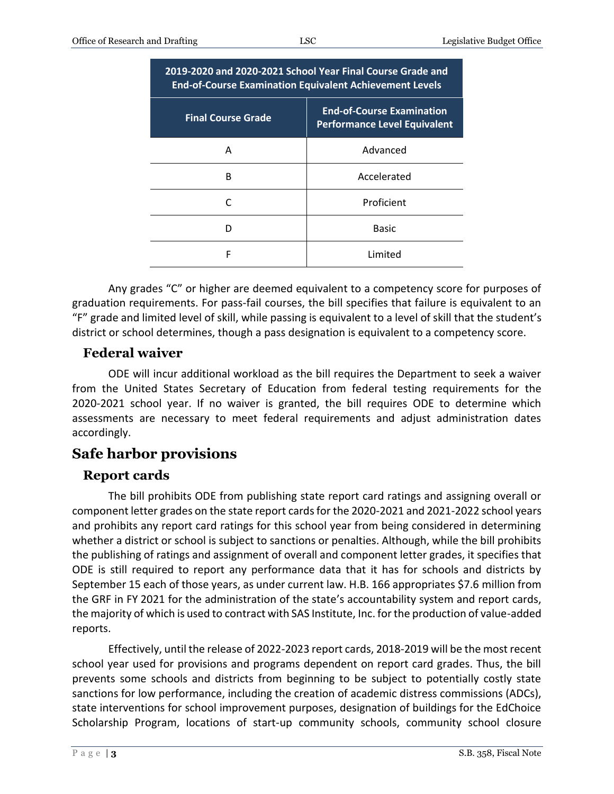| 2019-2020 and 2020-2021 School Year Final Course Grade and<br><b>End-of-Course Examination Equivalent Achievement Levels</b> |                                                                         |
|------------------------------------------------------------------------------------------------------------------------------|-------------------------------------------------------------------------|
| <b>Final Course Grade</b>                                                                                                    | <b>End-of-Course Examination</b><br><b>Performance Level Equivalent</b> |
| Α                                                                                                                            | Advanced                                                                |
| R                                                                                                                            | Accelerated                                                             |
|                                                                                                                              | Proficient                                                              |
| n                                                                                                                            | <b>Basic</b>                                                            |
| F                                                                                                                            | Limited                                                                 |

Any grades "C" or higher are deemed equivalent to a competency score for purposes of graduation requirements. For pass-fail courses, the bill specifies that failure is equivalent to an "F" grade and limited level of skill, while passing is equivalent to a level of skill that the student's district or school determines, though a pass designation is equivalent to a competency score.

#### **Federal waiver**

ODE will incur additional workload as the bill requires the Department to seek a waiver from the United States Secretary of Education from federal testing requirements for the 2020-2021 school year. If no waiver is granted, the bill requires ODE to determine which assessments are necessary to meet federal requirements and adjust administration dates accordingly.

## **Safe harbor provisions**

#### **Report cards**

The bill prohibits ODE from publishing state report card ratings and assigning overall or component letter grades on the state report cards for the 2020-2021 and 2021-2022 school years and prohibits any report card ratings for this school year from being considered in determining whether a district or school is subject to sanctions or penalties. Although, while the bill prohibits the publishing of ratings and assignment of overall and component letter grades, it specifies that ODE is still required to report any performance data that it has for schools and districts by September 15 each of those years, as under current law. H.B. 166 appropriates \$7.6 million from the GRF in FY 2021 for the administration of the state's accountability system and report cards, the majority of which is used to contract with SAS Institute, Inc. for the production of value-added reports.

Effectively, until the release of 2022-2023 report cards, 2018-2019 will be the most recent school year used for provisions and programs dependent on report card grades. Thus, the bill prevents some schools and districts from beginning to be subject to potentially costly state sanctions for low performance, including the creation of academic distress commissions (ADCs), state interventions for school improvement purposes, designation of buildings for the EdChoice Scholarship Program, locations of start-up community schools, community school closure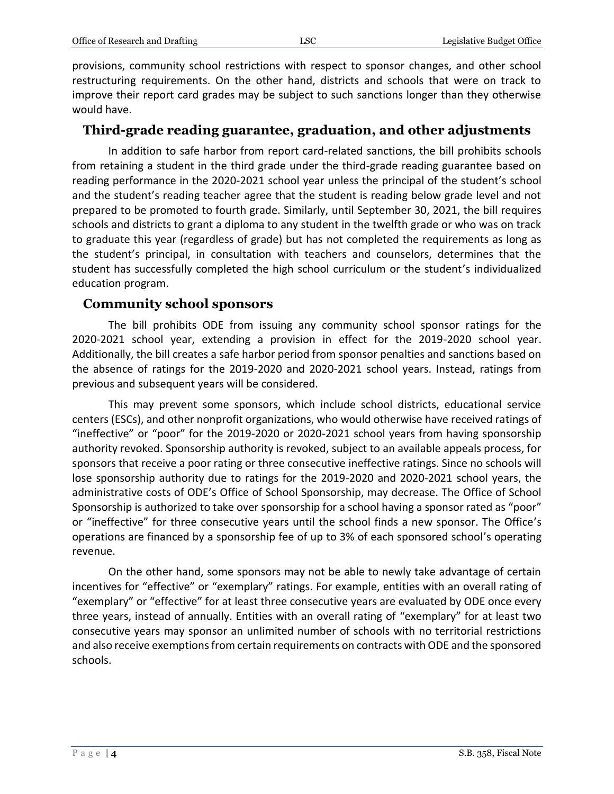provisions, community school restrictions with respect to sponsor changes, and other school restructuring requirements. On the other hand, districts and schools that were on track to improve their report card grades may be subject to such sanctions longer than they otherwise would have.

#### **Third-grade reading guarantee, graduation, and other adjustments**

In addition to safe harbor from report card-related sanctions, the bill prohibits schools from retaining a student in the third grade under the third-grade reading guarantee based on reading performance in the 2020-2021 school year unless the principal of the student's school and the student's reading teacher agree that the student is reading below grade level and not prepared to be promoted to fourth grade. Similarly, until September 30, 2021, the bill requires schools and districts to grant a diploma to any student in the twelfth grade or who was on track to graduate this year (regardless of grade) but has not completed the requirements as long as the student's principal, in consultation with teachers and counselors, determines that the student has successfully completed the high school curriculum or the student's individualized education program.

#### **Community school sponsors**

The bill prohibits ODE from issuing any community school sponsor ratings for the 2020-2021 school year, extending a provision in effect for the 2019-2020 school year. Additionally, the bill creates a safe harbor period from sponsor penalties and sanctions based on the absence of ratings for the 2019-2020 and 2020-2021 school years. Instead, ratings from previous and subsequent years will be considered.

This may prevent some sponsors, which include school districts, educational service centers (ESCs), and other nonprofit organizations, who would otherwise have received ratings of "ineffective" or "poor" for the 2019-2020 or 2020-2021 school years from having sponsorship authority revoked. Sponsorship authority is revoked, subject to an available appeals process, for sponsors that receive a poor rating or three consecutive ineffective ratings. Since no schools will lose sponsorship authority due to ratings for the 2019-2020 and 2020-2021 school years, the administrative costs of ODE's Office of School Sponsorship, may decrease. The Office of School Sponsorship is authorized to take over sponsorship for a school having a sponsor rated as "poor" or "ineffective" for three consecutive years until the school finds a new sponsor. The Office's operations are financed by a sponsorship fee of up to 3% of each sponsored school's operating revenue.

On the other hand, some sponsors may not be able to newly take advantage of certain incentives for "effective" or "exemplary" ratings. For example, entities with an overall rating of "exemplary" or "effective" for at least three consecutive years are evaluated by ODE once every three years, instead of annually. Entities with an overall rating of "exemplary" for at least two consecutive years may sponsor an unlimited number of schools with no territorial restrictions and also receive exemptions from certain requirements on contracts with ODE and the sponsored schools.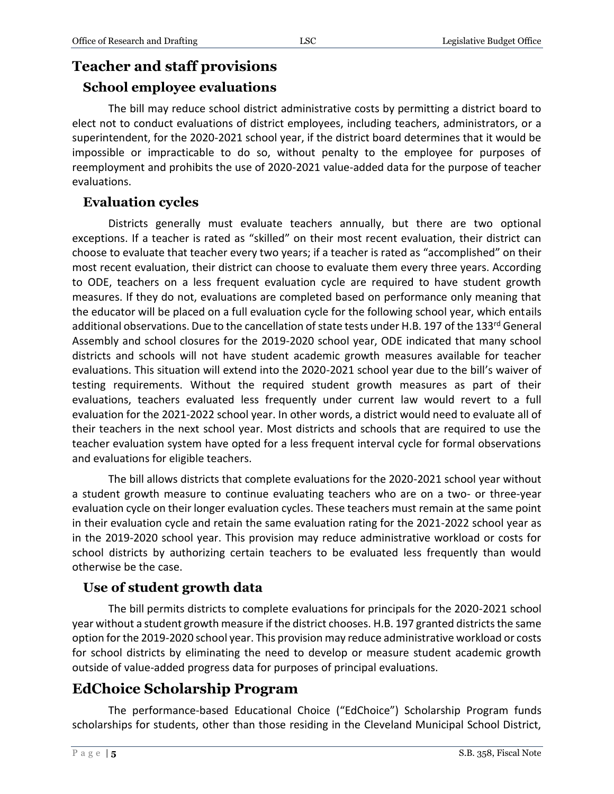# **Teacher and staff provisions**

#### **School employee evaluations**

The bill may reduce school district administrative costs by permitting a district board to elect not to conduct evaluations of district employees, including teachers, administrators, or a superintendent, for the 2020-2021 school year, if the district board determines that it would be impossible or impracticable to do so, without penalty to the employee for purposes of reemployment and prohibits the use of 2020-2021 value-added data for the purpose of teacher evaluations.

#### **Evaluation cycles**

Districts generally must evaluate teachers annually, but there are two optional exceptions. If a teacher is rated as "skilled" on their most recent evaluation, their district can choose to evaluate that teacher every two years; if a teacher is rated as "accomplished" on their most recent evaluation, their district can choose to evaluate them every three years. According to ODE, teachers on a less frequent evaluation cycle are required to have student growth measures. If they do not, evaluations are completed based on performance only meaning that the educator will be placed on a full evaluation cycle for the following school year, which entails additional observations. Due to the cancellation of state tests under H.B. 197 of the 133<sup>rd</sup> General Assembly and school closures for the 2019-2020 school year, ODE indicated that many school districts and schools will not have student academic growth measures available for teacher evaluations. This situation will extend into the 2020-2021 school year due to the bill's waiver of testing requirements. Without the required student growth measures as part of their evaluations, teachers evaluated less frequently under current law would revert to a full evaluation for the 2021-2022 school year. In other words, a district would need to evaluate all of their teachers in the next school year. Most districts and schools that are required to use the teacher evaluation system have opted for a less frequent interval cycle for formal observations and evaluations for eligible teachers.

The bill allows districts that complete evaluations for the 2020-2021 school year without a student growth measure to continue evaluating teachers who are on a two- or three-year evaluation cycle on their longer evaluation cycles. These teachers must remain at the same point in their evaluation cycle and retain the same evaluation rating for the 2021-2022 school year as in the 2019-2020 school year. This provision may reduce administrative workload or costs for school districts by authorizing certain teachers to be evaluated less frequently than would otherwise be the case.

#### **Use of student growth data**

The bill permits districts to complete evaluations for principals for the 2020-2021 school year without a student growth measure if the district chooses. H.B. 197 granted districts the same option for the 2019-2020 school year. This provision may reduce administrative workload or costs for school districts by eliminating the need to develop or measure student academic growth outside of value-added progress data for purposes of principal evaluations.

# **EdChoice Scholarship Program**

The performance-based Educational Choice ("EdChoice") Scholarship Program funds scholarships for students, other than those residing in the Cleveland Municipal School District,